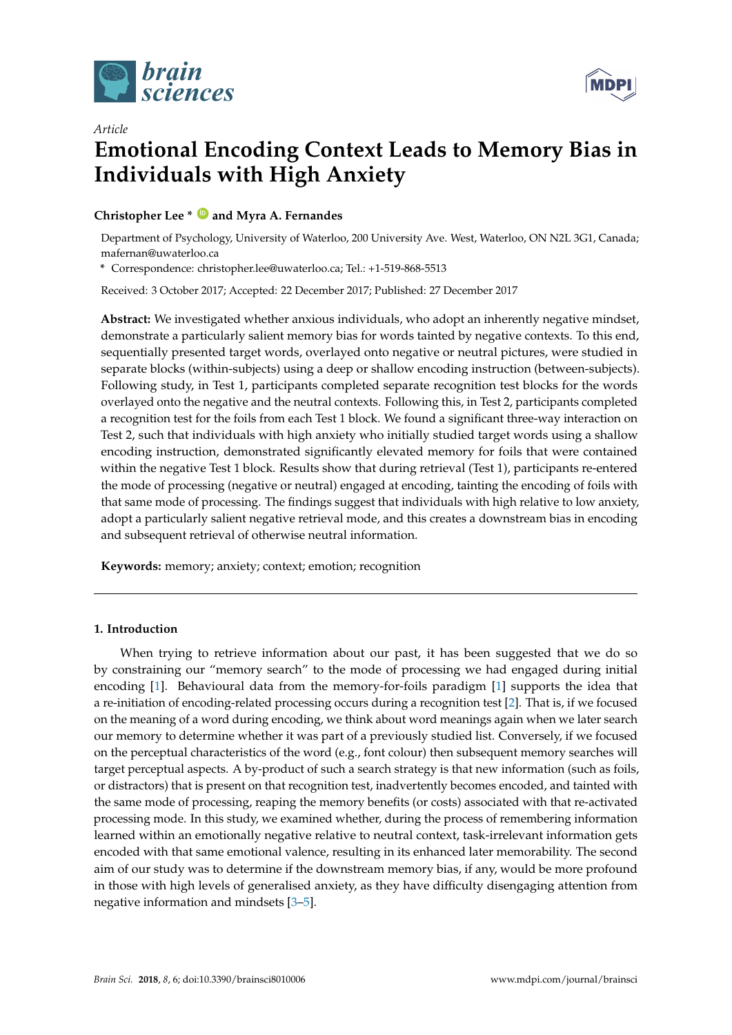

*Article*



# **Emotional Encoding Context Leads to Memory Bias in Individuals with High Anxiety**

### **Christopher Lee \* [ID](https://orcid.org/0000-0001-5821-2418) and Myra A. Fernandes**

Department of Psychology, University of Waterloo, 200 University Ave. West, Waterloo, ON N2L 3G1, Canada; mafernan@uwaterloo.ca

**\*** Correspondence: christopher.lee@uwaterloo.ca; Tel.: +1-519-868-5513

Received: 3 October 2017; Accepted: 22 December 2017; Published: 27 December 2017

**Abstract:** We investigated whether anxious individuals, who adopt an inherently negative mindset, demonstrate a particularly salient memory bias for words tainted by negative contexts. To this end, sequentially presented target words, overlayed onto negative or neutral pictures, were studied in separate blocks (within-subjects) using a deep or shallow encoding instruction (between-subjects). Following study, in Test 1, participants completed separate recognition test blocks for the words overlayed onto the negative and the neutral contexts. Following this, in Test 2, participants completed a recognition test for the foils from each Test 1 block. We found a significant three-way interaction on Test 2, such that individuals with high anxiety who initially studied target words using a shallow encoding instruction, demonstrated significantly elevated memory for foils that were contained within the negative Test 1 block. Results show that during retrieval (Test 1), participants re-entered the mode of processing (negative or neutral) engaged at encoding, tainting the encoding of foils with that same mode of processing. The findings suggest that individuals with high relative to low anxiety, adopt a particularly salient negative retrieval mode, and this creates a downstream bias in encoding and subsequent retrieval of otherwise neutral information.

**Keywords:** memory; anxiety; context; emotion; recognition

#### **1. Introduction**

When trying to retrieve information about our past, it has been suggested that we do so by constraining our "memory search" to the mode of processing we had engaged during initial encoding [\[1\]](#page-9-0). Behavioural data from the memory-for-foils paradigm [\[1\]](#page-9-0) supports the idea that a re-initiation of encoding-related processing occurs during a recognition test [\[2\]](#page-9-1). That is, if we focused on the meaning of a word during encoding, we think about word meanings again when we later search our memory to determine whether it was part of a previously studied list. Conversely, if we focused on the perceptual characteristics of the word (e.g., font colour) then subsequent memory searches will target perceptual aspects. A by-product of such a search strategy is that new information (such as foils, or distractors) that is present on that recognition test, inadvertently becomes encoded, and tainted with the same mode of processing, reaping the memory benefits (or costs) associated with that re-activated processing mode. In this study, we examined whether, during the process of remembering information learned within an emotionally negative relative to neutral context, task-irrelevant information gets encoded with that same emotional valence, resulting in its enhanced later memorability. The second aim of our study was to determine if the downstream memory bias, if any, would be more profound in those with high levels of generalised anxiety, as they have difficulty disengaging attention from negative information and mindsets [\[3–](#page-9-2)[5\]](#page-9-3).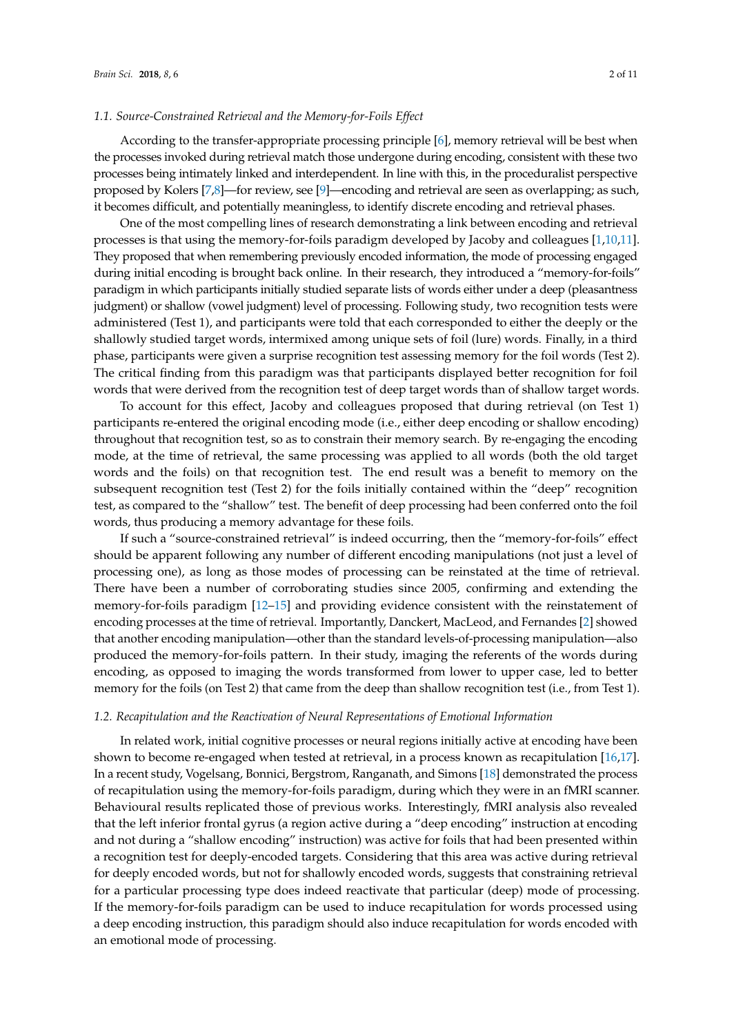#### *1.1. Source-Constrained Retrieval and the Memory-for-Foils Effect*

According to the transfer-appropriate processing principle [\[6\]](#page-9-4), memory retrieval will be best when the processes invoked during retrieval match those undergone during encoding, consistent with these two processes being intimately linked and interdependent. In line with this, in the proceduralist perspective proposed by Kolers [\[7](#page-9-5)[,8\]](#page-9-6)—for review, see [\[9\]](#page-9-7)—encoding and retrieval are seen as overlapping; as such, it becomes difficult, and potentially meaningless, to identify discrete encoding and retrieval phases.

One of the most compelling lines of research demonstrating a link between encoding and retrieval processes is that using the memory-for-foils paradigm developed by Jacoby and colleagues [\[1,](#page-9-0)[10,](#page-9-8)[11\]](#page-9-9). They proposed that when remembering previously encoded information, the mode of processing engaged during initial encoding is brought back online. In their research, they introduced a "memory-for-foils" paradigm in which participants initially studied separate lists of words either under a deep (pleasantness judgment) or shallow (vowel judgment) level of processing. Following study, two recognition tests were administered (Test 1), and participants were told that each corresponded to either the deeply or the shallowly studied target words, intermixed among unique sets of foil (lure) words. Finally, in a third phase, participants were given a surprise recognition test assessing memory for the foil words (Test 2). The critical finding from this paradigm was that participants displayed better recognition for foil words that were derived from the recognition test of deep target words than of shallow target words.

To account for this effect, Jacoby and colleagues proposed that during retrieval (on Test 1) participants re-entered the original encoding mode (i.e., either deep encoding or shallow encoding) throughout that recognition test, so as to constrain their memory search. By re-engaging the encoding mode, at the time of retrieval, the same processing was applied to all words (both the old target words and the foils) on that recognition test. The end result was a benefit to memory on the subsequent recognition test (Test 2) for the foils initially contained within the "deep" recognition test, as compared to the "shallow" test. The benefit of deep processing had been conferred onto the foil words, thus producing a memory advantage for these foils.

If such a "source-constrained retrieval" is indeed occurring, then the "memory-for-foils" effect should be apparent following any number of different encoding manipulations (not just a level of processing one), as long as those modes of processing can be reinstated at the time of retrieval. There have been a number of corroborating studies since 2005, confirming and extending the memory-for-foils paradigm [\[12](#page-9-10)[–15\]](#page-9-11) and providing evidence consistent with the reinstatement of encoding processes at the time of retrieval. Importantly, Danckert, MacLeod, and Fernandes [\[2\]](#page-9-1) showed that another encoding manipulation—other than the standard levels-of-processing manipulation—also produced the memory-for-foils pattern. In their study, imaging the referents of the words during encoding, as opposed to imaging the words transformed from lower to upper case, led to better memory for the foils (on Test 2) that came from the deep than shallow recognition test (i.e., from Test 1).

#### *1.2. Recapitulation and the Reactivation of Neural Representations of Emotional Information*

In related work, initial cognitive processes or neural regions initially active at encoding have been shown to become re-engaged when tested at retrieval, in a process known as recapitulation [\[16,](#page-9-12)[17\]](#page-9-13). In a recent study, Vogelsang, Bonnici, Bergstrom, Ranganath, and Simons [\[18\]](#page-9-14) demonstrated the process of recapitulation using the memory-for-foils paradigm, during which they were in an fMRI scanner. Behavioural results replicated those of previous works. Interestingly, fMRI analysis also revealed that the left inferior frontal gyrus (a region active during a "deep encoding" instruction at encoding and not during a "shallow encoding" instruction) was active for foils that had been presented within a recognition test for deeply-encoded targets. Considering that this area was active during retrieval for deeply encoded words, but not for shallowly encoded words, suggests that constraining retrieval for a particular processing type does indeed reactivate that particular (deep) mode of processing. If the memory-for-foils paradigm can be used to induce recapitulation for words processed using a deep encoding instruction, this paradigm should also induce recapitulation for words encoded with an emotional mode of processing.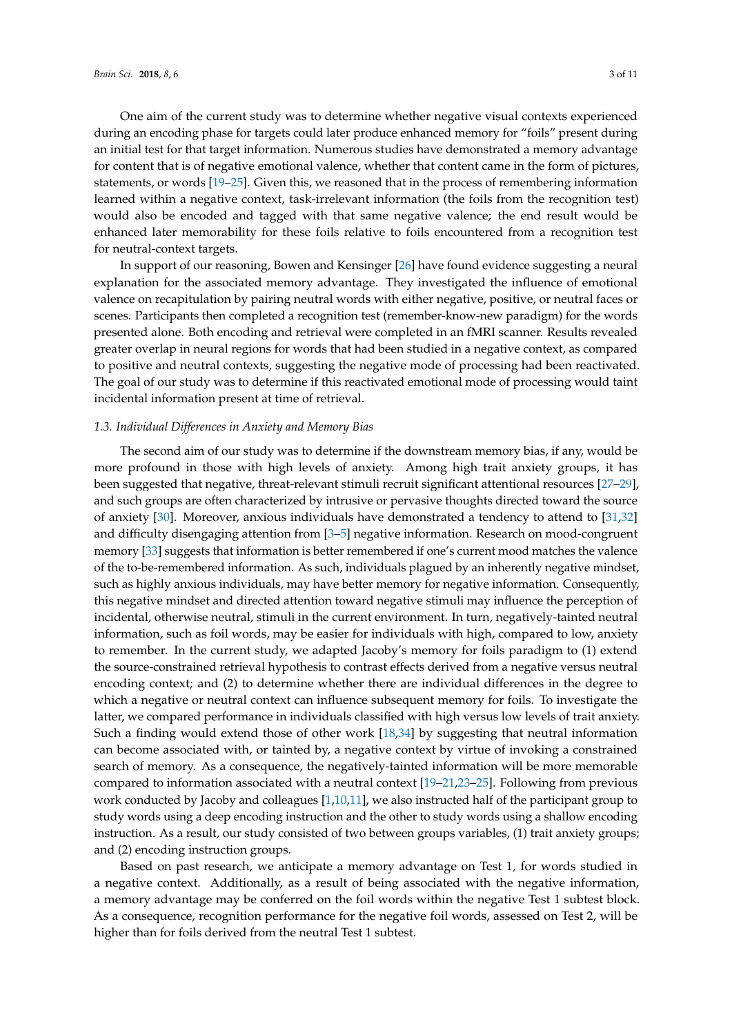One aim of the current study was to determine whether negative visual contexts experienced during an encoding phase for targets could later produce enhanced memory for "foils" present during an initial test for that target information. Numerous studies have demonstrated a memory advantage for content that is of negative emotional valence, whether that content came in the form of pictures, statements, or words [\[19–](#page-9-15)[25\]](#page-10-0). Given this, we reasoned that in the process of remembering information learned within a negative context, task-irrelevant information (the foils from the recognition test) would also be encoded and tagged with that same negative valence; the end result would be enhanced later memorability for these foils relative to foils encountered from a recognition test for neutral-context targets.

In support of our reasoning, Bowen and Kensinger [\[26\]](#page-10-1) have found evidence suggesting a neural explanation for the associated memory advantage. They investigated the influence of emotional valence on recapitulation by pairing neutral words with either negative, positive, or neutral faces or scenes. Participants then completed a recognition test (remember-know-new paradigm) for the words presented alone. Both encoding and retrieval were completed in an fMRI scanner. Results revealed greater overlap in neural regions for words that had been studied in a negative context, as compared to positive and neutral contexts, suggesting the negative mode of processing had been reactivated. The goal of our study was to determine if this reactivated emotional mode of processing would taint incidental information present at time of retrieval.

#### *1.3. Individual Differences in Anxiety and Memory Bias*

The second aim of our study was to determine if the downstream memory bias, if any, would be more profound in those with high levels of anxiety. Among high trait anxiety groups, it has been suggested that negative, threat-relevant stimuli recruit significant attentional resources [\[27](#page-10-2)[–29\]](#page-10-3), and such groups are often characterized by intrusive or pervasive thoughts directed toward the source of anxiety [\[30\]](#page-10-4). Moreover, anxious individuals have demonstrated a tendency to attend to [\[31](#page-10-5)[,32\]](#page-10-6) and difficulty disengaging attention from [\[3–](#page-9-2)[5\]](#page-9-3) negative information. Research on mood-congruent memory [\[33\]](#page-10-7) suggests that information is better remembered if one's current mood matches the valence of the to-be-remembered information. As such, individuals plagued by an inherently negative mindset, such as highly anxious individuals, may have better memory for negative information. Consequently, this negative mindset and directed attention toward negative stimuli may influence the perception of incidental, otherwise neutral, stimuli in the current environment. In turn, negatively-tainted neutral information, such as foil words, may be easier for individuals with high, compared to low, anxiety to remember. In the current study, we adapted Jacoby's memory for foils paradigm to (1) extend the source-constrained retrieval hypothesis to contrast effects derived from a negative versus neutral encoding context; and (2) to determine whether there are individual differences in the degree to which a negative or neutral context can influence subsequent memory for foils. To investigate the latter, we compared performance in individuals classified with high versus low levels of trait anxiety. Such a finding would extend those of other work [\[18,](#page-9-14)[34\]](#page-10-8) by suggesting that neutral information can become associated with, or tainted by, a negative context by virtue of invoking a constrained search of memory. As a consequence, the negatively-tainted information will be more memorable compared to information associated with a neutral context [\[19–](#page-9-15)[21](#page-10-9)[,23–](#page-10-10)[25\]](#page-10-0). Following from previous work conducted by Jacoby and colleagues [\[1,](#page-9-0)[10,](#page-9-8)[11\]](#page-9-9), we also instructed half of the participant group to study words using a deep encoding instruction and the other to study words using a shallow encoding instruction. As a result, our study consisted of two between groups variables, (1) trait anxiety groups; and (2) encoding instruction groups.

Based on past research, we anticipate a memory advantage on Test 1, for words studied in a negative context. Additionally, as a result of being associated with the negative information, a memory advantage may be conferred on the foil words within the negative Test 1 subtest block. As a consequence, recognition performance for the negative foil words, assessed on Test 2, will be higher than for foils derived from the neutral Test 1 subtest.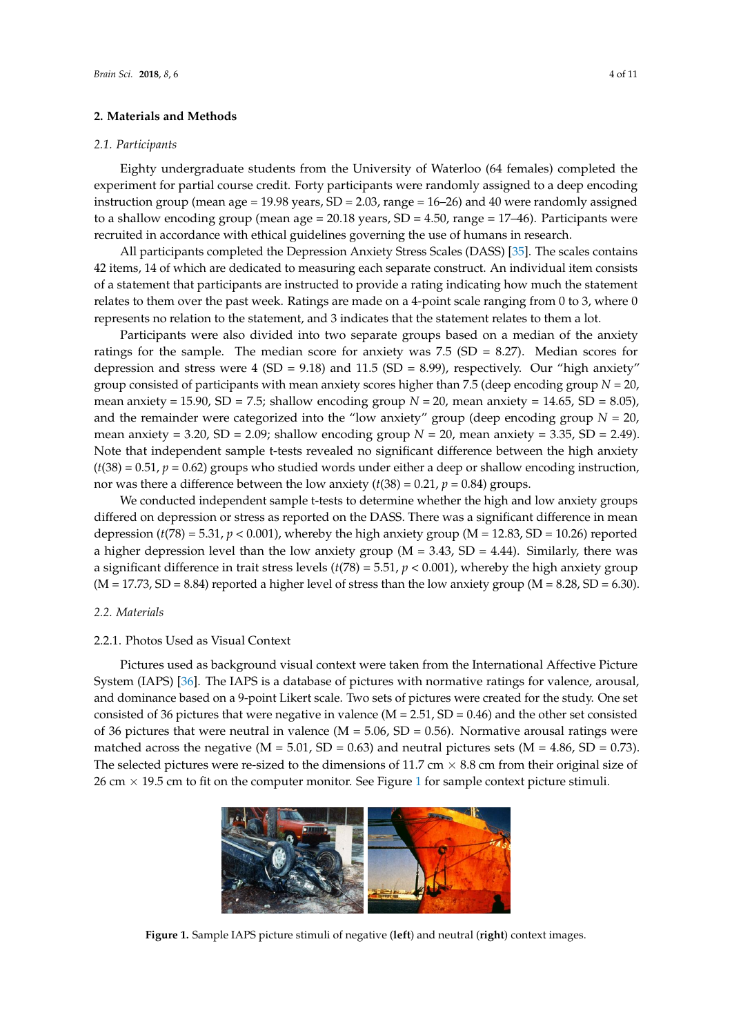#### **2. Materials and Methods**

#### *2.1. Participants Brain Sci.* **2018**, *8*, 6 4 of 11

Eighty undergraduate students from the University of Waterloo (64 females) completed the experiment for partial course credit. Forty participants were randomly assigned to a deep encoding  $\frac{1}{2}$  instruction group (mean age = 19.98 years, SD = 2.03, range = 16–26) and 40 were randomly assigned to a shallow encoding group (mean age =  $20.18$  years,  $SD = 4.50$ , range =  $17-46$ ). Participants were recruited in accordance with ethical guidelines governing the use of humans in research.

All participants completed the Depression Anxiety Stress Scales (DASS) [\[35\]](#page-10-11). The scales contains 42 items, 14 of which are dedicated to measuring each separate construct. An individual item consists recruits, and the materials are instructed to provide a rating indicating how much the statement of a statement that participants are instructed to provide a rating indicating how much the statement relates to them over the past week. Ratings are made on a 4-point scale ranging from  $0$  to 3, where  $0$ represents no relation to the statement, and 3 indicates that the statement relates to them a lot. All participants are instructed to provide a rainty indicating now much the state.

Participants were also divided into two separate groups based on a median of the anxiety ratings for the sample. The median score for anxiety was  $7.5$  (SD = 8.27). Median scores for depression and stress were 4 (SD = 9.18) and 11.5 (SD = 8.99), respectively. Our "high anxiety" group consisted of participants with mean anxiety scores higher than 7.5 (deep encoding group  $N = 20$ , mean anxiety = 15.90, SD = 7.5; shallow encoding group  $N = 20$ , mean anxiety = 14.65, SD = 8.05), and the remainder were categorized into the "low anxiety" group (deep encoding group  $N = 20$ , mean anxiety = 3.20, SD = 2.09; shallow encoding group  $N = 20$ , mean anxiety = 3.35, SD = 2.49). Note that independent sample t-tests revealed no significant difference between the high anxiety  $(t(38) = 0.51, p = 0.62)$  groups who studied words under either a deep or shallow encoding instruction, nor was there a difference between the low anxiety  $(t(38) = 0.21, p = 0.84)$  groups.  $\mu_{\text{max}} = 3.20, 3D = 2.0$ , shahow choding group  $N = 20$ , mean anxiety = 3.35, SD

We conducted independent sample t-tests to determine whether the high and low anxiety groups differed on depression or stress as reported on the DASS. There was a significant difference in mean depression ( $t(78) = 5.31$ ,  $p < 0.001$ ), whereby the high anxiety group (M = 12.83, SD = 10.26) reported a higher depression level than the low anxiety group ( $M = 3.43$ , SD = 4.44). Similarly, there was a significant difference in trait stress levels  $(t(78) = 5.51, p < 0.001$ ), whereby the high anxiety group was a significant difference in trait stress forces  $\langle v_1, v_2 \rangle$  and  $\langle v_1, v_2 \rangle$  is easy, whereby the high ansiety group (M = 8.28, SD = 6.30).  $\alpha$ ,  $\beta$ ,  $\beta$ ,  $\beta$  = 8.84) reported a higher level of stress than the low anxiety group (M = 8.28,  $\beta$ D = 8.

### 2.2. Materials

## 2.2.1. Photos Used as Visual Context *2.2. Materials*

Pictures used as background visual context were taken from the International Affective Picture System (IAPS) [\[36\]](#page-10-12). The IAPS is a database of pictures with normative ratings for valence, arousal, and dominance based on a 9-point Likert scale. Two sets of pictures were created for the study. One set consisted of 36 pictures that were negative in valence ( $M = 2.51$ ,  $SD = 0.46$ ) and the other set consisted of 36 pictures that were neutral in valence ( $M = 5.06$ ,  $SD = 0.56$ ). Normative arousal ratings were matched across the negative (M = 5.01, SD = 0.63) and neutral pictures sets (M = 4.86, SD = 0.73). The selected pictures were re-sized to the dimensions of 11.7 cm  $\times$  8.8 cm from their original size of 26 cm  $\times$  [1](#page-3-0)9.5 cm to fit on the computer monitor. See Figure 1 for sample context picture stimuli.  $26.7$  cm to fit on the computer monitor. See Figure 1 for sample context picture stimulation

<span id="page-3-0"></span>

Figure 1. Sample IAPS picture stimuli of negative (left) and neutral (right) context images.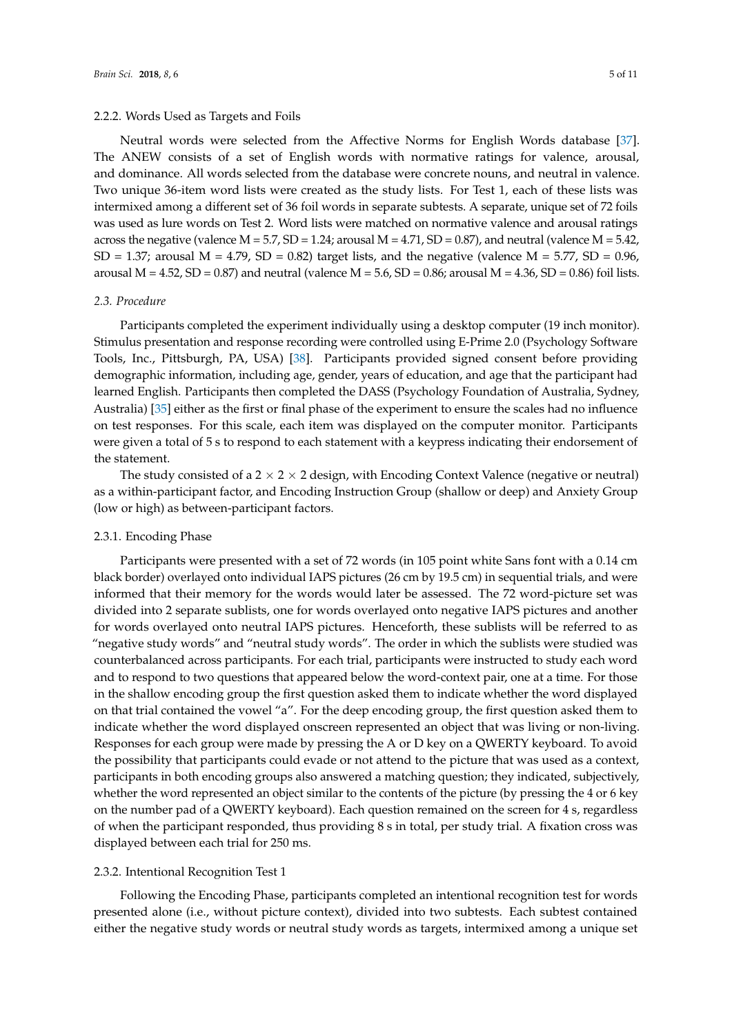#### 2.2.2. Words Used as Targets and Foils

Neutral words were selected from the Affective Norms for English Words database [\[37\]](#page-10-13). The ANEW consists of a set of English words with normative ratings for valence, arousal, and dominance. All words selected from the database were concrete nouns, and neutral in valence. Two unique 36-item word lists were created as the study lists. For Test 1, each of these lists was intermixed among a different set of 36 foil words in separate subtests. A separate, unique set of 72 foils was used as lure words on Test 2. Word lists were matched on normative valence and arousal ratings across the negative (valence  $M = 5.7$ ,  $SD = 1.24$ ; arousal  $M = 4.71$ ,  $SD = 0.87$ ), and neutral (valence  $M = 5.42$ ,  $SD = 1.37$ ; arousal  $M = 4.79$ ,  $SD = 0.82$ ) target lists, and the negative (valence  $M = 5.77$ ,  $SD = 0.96$ , arousal M = 4.52, SD = 0.87) and neutral (valence M = 5.6, SD = 0.86; arousal M = 4.36, SD = 0.86) foil lists.

#### *2.3. Procedure*

Participants completed the experiment individually using a desktop computer (19 inch monitor). Stimulus presentation and response recording were controlled using E-Prime 2.0 (Psychology Software Tools, Inc., Pittsburgh, PA, USA) [\[38\]](#page-10-14). Participants provided signed consent before providing demographic information, including age, gender, years of education, and age that the participant had learned English. Participants then completed the DASS (Psychology Foundation of Australia, Sydney, Australia) [\[35\]](#page-10-11) either as the first or final phase of the experiment to ensure the scales had no influence on test responses. For this scale, each item was displayed on the computer monitor. Participants were given a total of 5 s to respond to each statement with a keypress indicating their endorsement of the statement.

The study consisted of a  $2 \times 2 \times 2$  design, with Encoding Context Valence (negative or neutral) as a within-participant factor, and Encoding Instruction Group (shallow or deep) and Anxiety Group (low or high) as between-participant factors.

#### 2.3.1. Encoding Phase

Participants were presented with a set of 72 words (in 105 point white Sans font with a 0.14 cm black border) overlayed onto individual IAPS pictures (26 cm by 19.5 cm) in sequential trials, and were informed that their memory for the words would later be assessed. The 72 word-picture set was divided into 2 separate sublists, one for words overlayed onto negative IAPS pictures and another for words overlayed onto neutral IAPS pictures. Henceforth, these sublists will be referred to as "negative study words" and "neutral study words". The order in which the sublists were studied was counterbalanced across participants. For each trial, participants were instructed to study each word and to respond to two questions that appeared below the word-context pair, one at a time. For those in the shallow encoding group the first question asked them to indicate whether the word displayed on that trial contained the vowel "a". For the deep encoding group, the first question asked them to indicate whether the word displayed onscreen represented an object that was living or non-living. Responses for each group were made by pressing the A or D key on a QWERTY keyboard. To avoid the possibility that participants could evade or not attend to the picture that was used as a context, participants in both encoding groups also answered a matching question; they indicated, subjectively, whether the word represented an object similar to the contents of the picture (by pressing the 4 or 6 key on the number pad of a QWERTY keyboard). Each question remained on the screen for 4 s, regardless of when the participant responded, thus providing 8 s in total, per study trial. A fixation cross was displayed between each trial for 250 ms.

#### 2.3.2. Intentional Recognition Test 1

Following the Encoding Phase, participants completed an intentional recognition test for words presented alone (i.e., without picture context), divided into two subtests. Each subtest contained either the negative study words or neutral study words as targets, intermixed among a unique set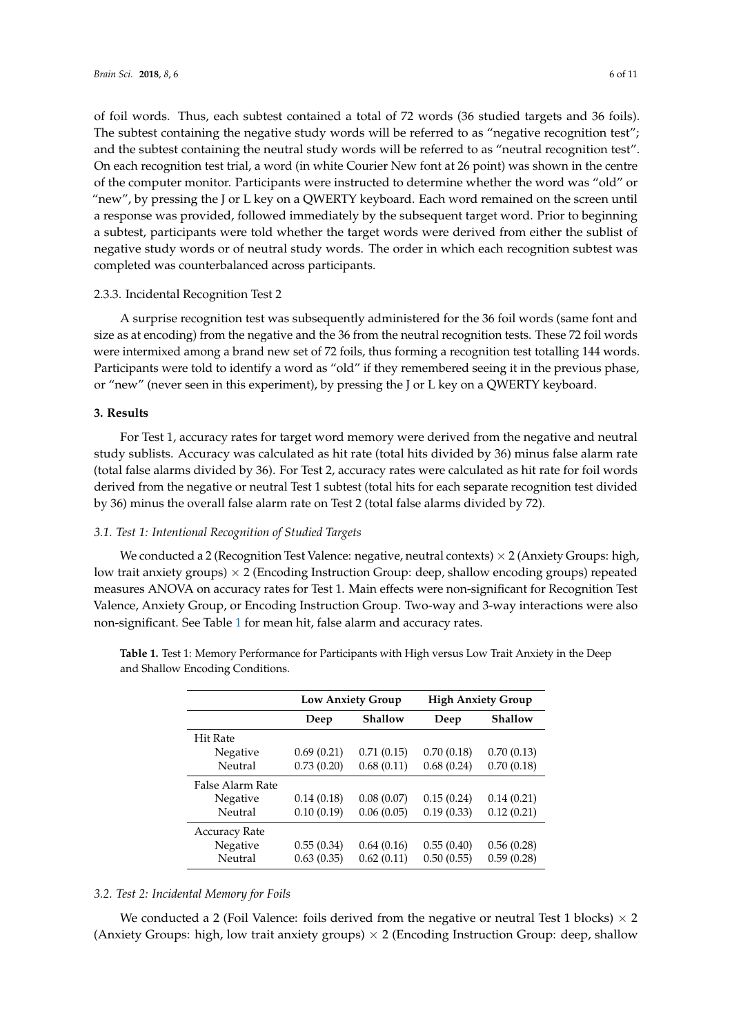of foil words. Thus, each subtest contained a total of 72 words (36 studied targets and 36 foils). The subtest containing the negative study words will be referred to as "negative recognition test"; and the subtest containing the neutral study words will be referred to as "neutral recognition test". On each recognition test trial, a word (in white Courier New font at 26 point) was shown in the centre of the computer monitor. Participants were instructed to determine whether the word was "old" or "new", by pressing the J or L key on a QWERTY keyboard. Each word remained on the screen until a response was provided, followed immediately by the subsequent target word. Prior to beginning a subtest, participants were told whether the target words were derived from either the sublist of negative study words or of neutral study words. The order in which each recognition subtest was completed was counterbalanced across participants.

#### 2.3.3. Incidental Recognition Test 2

A surprise recognition test was subsequently administered for the 36 foil words (same font and size as at encoding) from the negative and the 36 from the neutral recognition tests. These 72 foil words were intermixed among a brand new set of 72 foils, thus forming a recognition test totalling 144 words. Participants were told to identify a word as "old" if they remembered seeing it in the previous phase, or "new" (never seen in this experiment), by pressing the J or L key on a QWERTY keyboard.

#### **3. Results**

For Test 1, accuracy rates for target word memory were derived from the negative and neutral study sublists. Accuracy was calculated as hit rate (total hits divided by 36) minus false alarm rate (total false alarms divided by 36). For Test 2, accuracy rates were calculated as hit rate for foil words derived from the negative or neutral Test 1 subtest (total hits for each separate recognition test divided by 36) minus the overall false alarm rate on Test 2 (total false alarms divided by 72).

#### *3.1. Test 1: Intentional Recognition of Studied Targets*

We conducted a 2 (Recognition Test Valence: negative, neutral contexts)  $\times$  2 (Anxiety Groups: high, low trait anxiety groups)  $\times$  2 (Encoding Instruction Group: deep, shallow encoding groups) repeated measures ANOVA on accuracy rates for Test 1. Main effects were non-significant for Recognition Test Valence, Anxiety Group, or Encoding Instruction Group. Two-way and 3-way interactions were also non-significant. See Table [1](#page-5-0) for mean hit, false alarm and accuracy rates.

|                      | <b>Low Anxiety Group</b> |            | <b>High Anxiety Group</b> |                |  |
|----------------------|--------------------------|------------|---------------------------|----------------|--|
|                      | Deep                     | Shallow    | Deep                      | <b>Shallow</b> |  |
| <b>Hit Rate</b>      |                          |            |                           |                |  |
| Negative             | 0.69(0.21)               | 0.71(0.15) | 0.70(0.18)                | 0.70(0.13)     |  |
| Neutral              | 0.73(0.20)               | 0.68(0.11) | 0.68(0.24)                | 0.70(0.18)     |  |
| False Alarm Rate     |                          |            |                           |                |  |
| Negative             | 0.14(0.18)               | 0.08(0.07) | 0.15(0.24)                | 0.14(0.21)     |  |
| Neutral              | 0.10(0.19)               | 0.06(0.05) | 0.19(0.33)                | 0.12(0.21)     |  |
| <b>Accuracy Rate</b> |                          |            |                           |                |  |
| Negative             | 0.55(0.34)               | 0.64(0.16) | 0.55(0.40)                | 0.56(0.28)     |  |
| Neutral              | 0.63(0.35)               | 0.62(0.11) | 0.50(0.55)                | 0.59(0.28)     |  |

<span id="page-5-0"></span>**Table 1.** Test 1: Memory Performance for Participants with High versus Low Trait Anxiety in the Deep and Shallow Encoding Conditions.

#### *3.2. Test 2: Incidental Memory for Foils*

We conducted a 2 (Foil Valence: foils derived from the negative or neutral Test 1 blocks)  $\times$  2 (Anxiety Groups: high, low trait anxiety groups)  $\times$  2 (Encoding Instruction Group: deep, shallow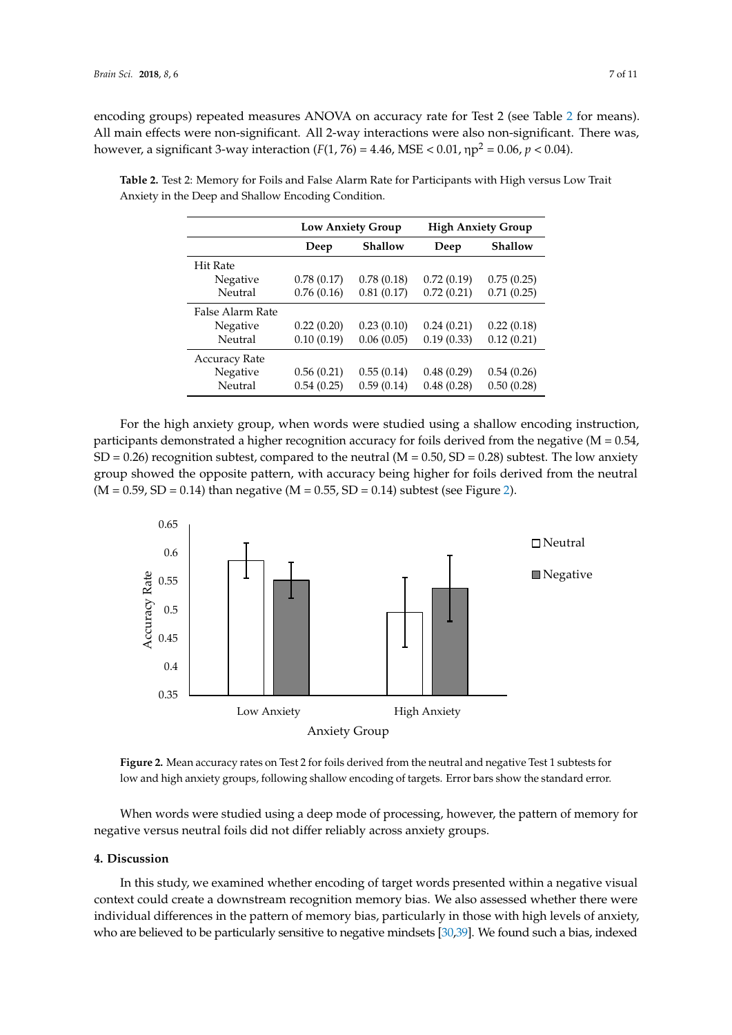encoding groups) repeated measures ANOVA on accuracy rate for Test 2 (see Table [2](#page-6-0) for means). All main effects were non-significant. All 2-way interactions were also non-significant. There was, however, a significant 3-way interaction (*F*(1, 76) = 4.46, MSE < 0.01, ηp<sup>2</sup> = 0.06, *p* < 0.04).

|                      | <b>Low Anxiety Group</b> |                | <b>High Anxiety Group</b> |                |
|----------------------|--------------------------|----------------|---------------------------|----------------|
|                      | Deep                     | <b>Shallow</b> | Deep                      | <b>Shallow</b> |
| <b>Hit Rate</b>      |                          |                |                           |                |
| Negative             | 0.78(0.17)               | 0.78(0.18)     | 0.72(0.19)                | 0.75(0.25)     |
| Neutral              | 0.76(0.16)               | 0.81(0.17)     | 0.72(0.21)                | 0.71(0.25)     |
| False Alarm Rate     |                          |                |                           |                |
| Negative             | 0.22(0.20)               | 0.23(0.10)     | 0.24(0.21)                | 0.22(0.18)     |
| Neutral              | 0.10(0.19)               | 0.06(0.05)     | 0.19(0.33)                | 0.12(0.21)     |
| <b>Accuracy Rate</b> |                          |                |                           |                |
| Negative             | 0.56(0.21)               | 0.55(0.14)     | 0.48(0.29)                | 0.54(0.26)     |
| Neutral              | 0.54(0.25)               | 0.59(0.14)     | 0.48(0.28)                | 0.50(0.28)     |

<span id="page-6-0"></span>**Table 2.** Test 2: Memory for Foils and False Alarm Rate for Participants with High versus Low Trait Anxiety in the Deep and Shallow Encoding Condition.

For the high anxiety group, when words were studied using a shallow encoding instruction, For the high anxiety group, when words were studied using a shallow encoding instruction, participants demonstrated a higher recognition accuracy for foils derived from the negative (M = 0.54, participants demonstrated a higher recognition accuracy for foils derived from the negative (M = 0.54,  $SD = 0.26$ ) recognition subtest, compared to the neutral (M = 0.50, SD = 0.28) subtest. The low anxiety group showed the opposite pattern, with accuracy being higher for foils derived from the neutral (March 2001)  $(M = 0.59, SD = 0.14)$  than negative  $(M = 0.55, SD = 0.14)$  subtest (see Figure [2\)](#page-6-1).

<span id="page-6-1"></span>



negative versus neutral foils did not differ reliably across anxiety groups. When words were studied using a deep mode of processing, however, the pattern of memory for

#### **4. Discussion**

**4. Discussion** In this study, we examined whether encoding of target words presented within a negative visual context could create a downstream recognition memory bias. We also assessed whether there were individual differences in the pattern of memory bias, particularly in those with high levels of anxiety, who are believed to be particularly sensitive to negative mindsets [30,39]. We found such a bias, indexed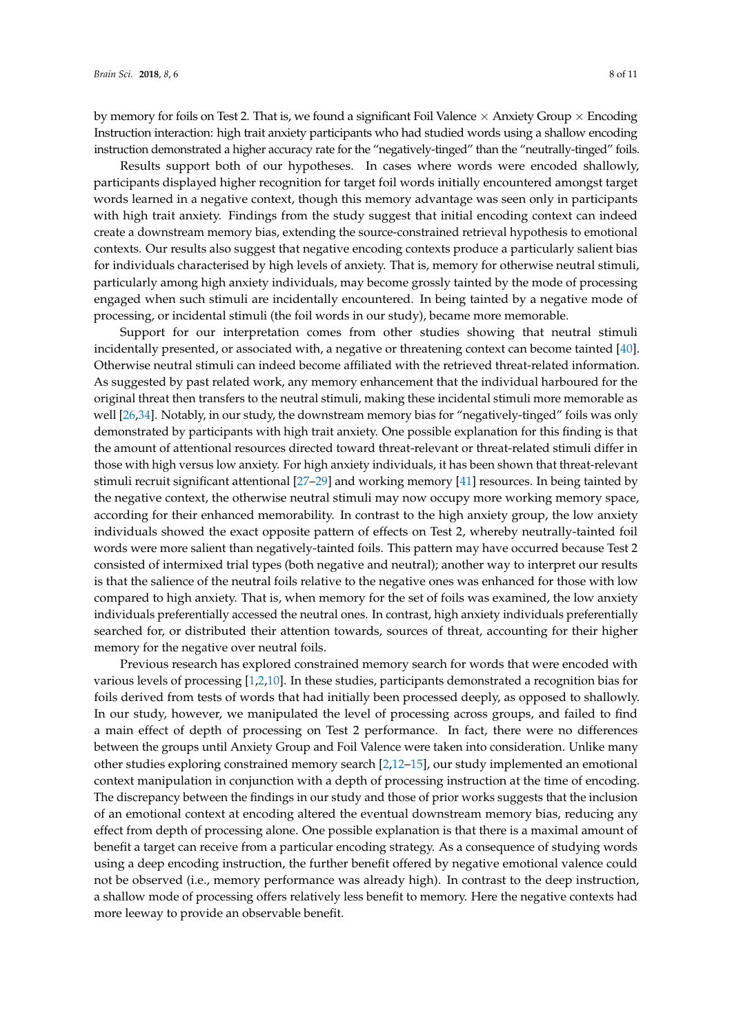by memory for foils on Test 2. That is, we found a significant Foil Valence  $\times$  Anxiety Group  $\times$  Encoding Instruction interaction: high trait anxiety participants who had studied words using a shallow encoding instruction demonstrated a higher accuracy rate for the "negatively-tinged" than the "neutrally-tinged" foils.

Results support both of our hypotheses. In cases where words were encoded shallowly, participants displayed higher recognition for target foil words initially encountered amongst target words learned in a negative context, though this memory advantage was seen only in participants with high trait anxiety. Findings from the study suggest that initial encoding context can indeed create a downstream memory bias, extending the source-constrained retrieval hypothesis to emotional contexts. Our results also suggest that negative encoding contexts produce a particularly salient bias for individuals characterised by high levels of anxiety. That is, memory for otherwise neutral stimuli, particularly among high anxiety individuals, may become grossly tainted by the mode of processing engaged when such stimuli are incidentally encountered. In being tainted by a negative mode of processing, or incidental stimuli (the foil words in our study), became more memorable.

Support for our interpretation comes from other studies showing that neutral stimuli incidentally presented, or associated with, a negative or threatening context can become tainted [\[40\]](#page-10-16). Otherwise neutral stimuli can indeed become affiliated with the retrieved threat-related information. As suggested by past related work, any memory enhancement that the individual harboured for the original threat then transfers to the neutral stimuli, making these incidental stimuli more memorable as well [\[26,](#page-10-1)[34\]](#page-10-8). Notably, in our study, the downstream memory bias for "negatively-tinged" foils was only demonstrated by participants with high trait anxiety. One possible explanation for this finding is that the amount of attentional resources directed toward threat-relevant or threat-related stimuli differ in those with high versus low anxiety. For high anxiety individuals, it has been shown that threat-relevant stimuli recruit significant attentional [\[27–](#page-10-2)[29\]](#page-10-3) and working memory [\[41\]](#page-10-17) resources. In being tainted by the negative context, the otherwise neutral stimuli may now occupy more working memory space, according for their enhanced memorability. In contrast to the high anxiety group, the low anxiety individuals showed the exact opposite pattern of effects on Test 2, whereby neutrally-tainted foil words were more salient than negatively-tainted foils. This pattern may have occurred because Test 2 consisted of intermixed trial types (both negative and neutral); another way to interpret our results is that the salience of the neutral foils relative to the negative ones was enhanced for those with low compared to high anxiety. That is, when memory for the set of foils was examined, the low anxiety individuals preferentially accessed the neutral ones. In contrast, high anxiety individuals preferentially searched for, or distributed their attention towards, sources of threat, accounting for their higher memory for the negative over neutral foils.

Previous research has explored constrained memory search for words that were encoded with various levels of processing [\[1,](#page-9-0)[2](#page-9-1)[,10\]](#page-9-8). In these studies, participants demonstrated a recognition bias for foils derived from tests of words that had initially been processed deeply, as opposed to shallowly. In our study, however, we manipulated the level of processing across groups, and failed to find a main effect of depth of processing on Test 2 performance. In fact, there were no differences between the groups until Anxiety Group and Foil Valence were taken into consideration. Unlike many other studies exploring constrained memory search [\[2,](#page-9-1)[12](#page-9-10)[–15\]](#page-9-11), our study implemented an emotional context manipulation in conjunction with a depth of processing instruction at the time of encoding. The discrepancy between the findings in our study and those of prior works suggests that the inclusion of an emotional context at encoding altered the eventual downstream memory bias, reducing any effect from depth of processing alone. One possible explanation is that there is a maximal amount of benefit a target can receive from a particular encoding strategy. As a consequence of studying words using a deep encoding instruction, the further benefit offered by negative emotional valence could not be observed (i.e., memory performance was already high). In contrast to the deep instruction, a shallow mode of processing offers relatively less benefit to memory. Here the negative contexts had more leeway to provide an observable benefit.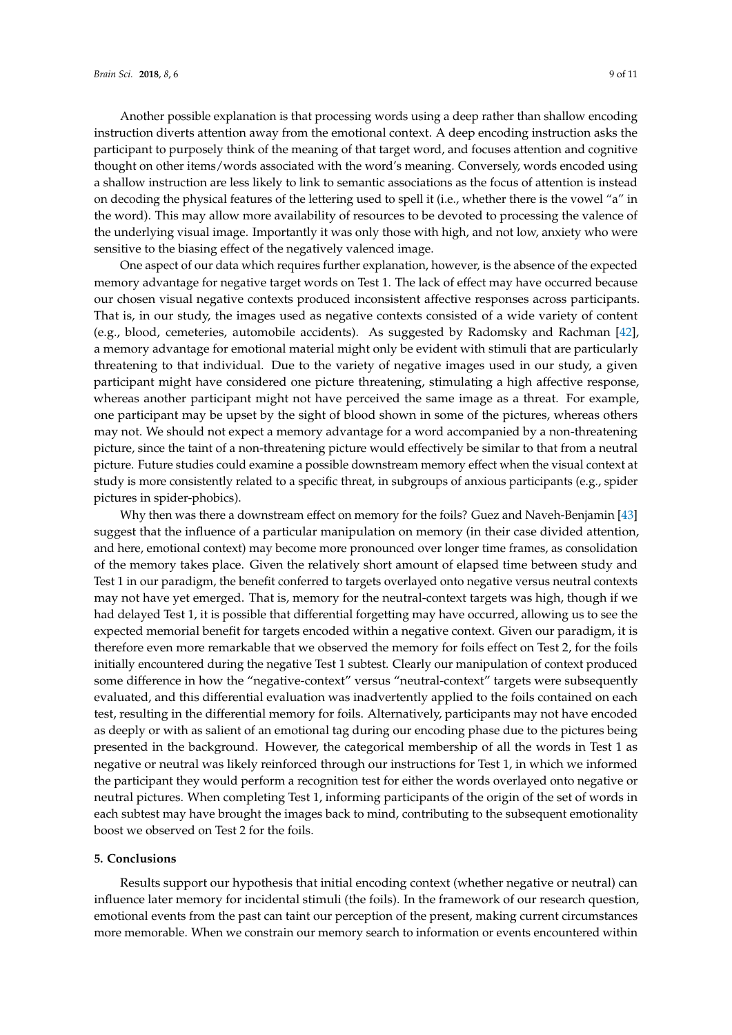Another possible explanation is that processing words using a deep rather than shallow encoding instruction diverts attention away from the emotional context. A deep encoding instruction asks the participant to purposely think of the meaning of that target word, and focuses attention and cognitive thought on other items/words associated with the word's meaning. Conversely, words encoded using a shallow instruction are less likely to link to semantic associations as the focus of attention is instead on decoding the physical features of the lettering used to spell it (i.e., whether there is the vowel "a" in the word). This may allow more availability of resources to be devoted to processing the valence of the underlying visual image. Importantly it was only those with high, and not low, anxiety who were sensitive to the biasing effect of the negatively valenced image.

One aspect of our data which requires further explanation, however, is the absence of the expected memory advantage for negative target words on Test 1. The lack of effect may have occurred because our chosen visual negative contexts produced inconsistent affective responses across participants. That is, in our study, the images used as negative contexts consisted of a wide variety of content (e.g., blood, cemeteries, automobile accidents). As suggested by Radomsky and Rachman [\[42\]](#page-10-18), a memory advantage for emotional material might only be evident with stimuli that are particularly threatening to that individual. Due to the variety of negative images used in our study, a given participant might have considered one picture threatening, stimulating a high affective response, whereas another participant might not have perceived the same image as a threat. For example, one participant may be upset by the sight of blood shown in some of the pictures, whereas others may not. We should not expect a memory advantage for a word accompanied by a non-threatening picture, since the taint of a non-threatening picture would effectively be similar to that from a neutral picture. Future studies could examine a possible downstream memory effect when the visual context at study is more consistently related to a specific threat, in subgroups of anxious participants (e.g., spider pictures in spider-phobics).

Why then was there a downstream effect on memory for the foils? Guez and Naveh-Benjamin [\[43\]](#page-10-19) suggest that the influence of a particular manipulation on memory (in their case divided attention, and here, emotional context) may become more pronounced over longer time frames, as consolidation of the memory takes place. Given the relatively short amount of elapsed time between study and Test 1 in our paradigm, the benefit conferred to targets overlayed onto negative versus neutral contexts may not have yet emerged. That is, memory for the neutral-context targets was high, though if we had delayed Test 1, it is possible that differential forgetting may have occurred, allowing us to see the expected memorial benefit for targets encoded within a negative context. Given our paradigm, it is therefore even more remarkable that we observed the memory for foils effect on Test 2, for the foils initially encountered during the negative Test 1 subtest. Clearly our manipulation of context produced some difference in how the "negative-context" versus "neutral-context" targets were subsequently evaluated, and this differential evaluation was inadvertently applied to the foils contained on each test, resulting in the differential memory for foils. Alternatively, participants may not have encoded as deeply or with as salient of an emotional tag during our encoding phase due to the pictures being presented in the background. However, the categorical membership of all the words in Test 1 as negative or neutral was likely reinforced through our instructions for Test 1, in which we informed the participant they would perform a recognition test for either the words overlayed onto negative or neutral pictures. When completing Test 1, informing participants of the origin of the set of words in each subtest may have brought the images back to mind, contributing to the subsequent emotionality boost we observed on Test 2 for the foils.

#### **5. Conclusions**

Results support our hypothesis that initial encoding context (whether negative or neutral) can influence later memory for incidental stimuli (the foils). In the framework of our research question, emotional events from the past can taint our perception of the present, making current circumstances more memorable. When we constrain our memory search to information or events encountered within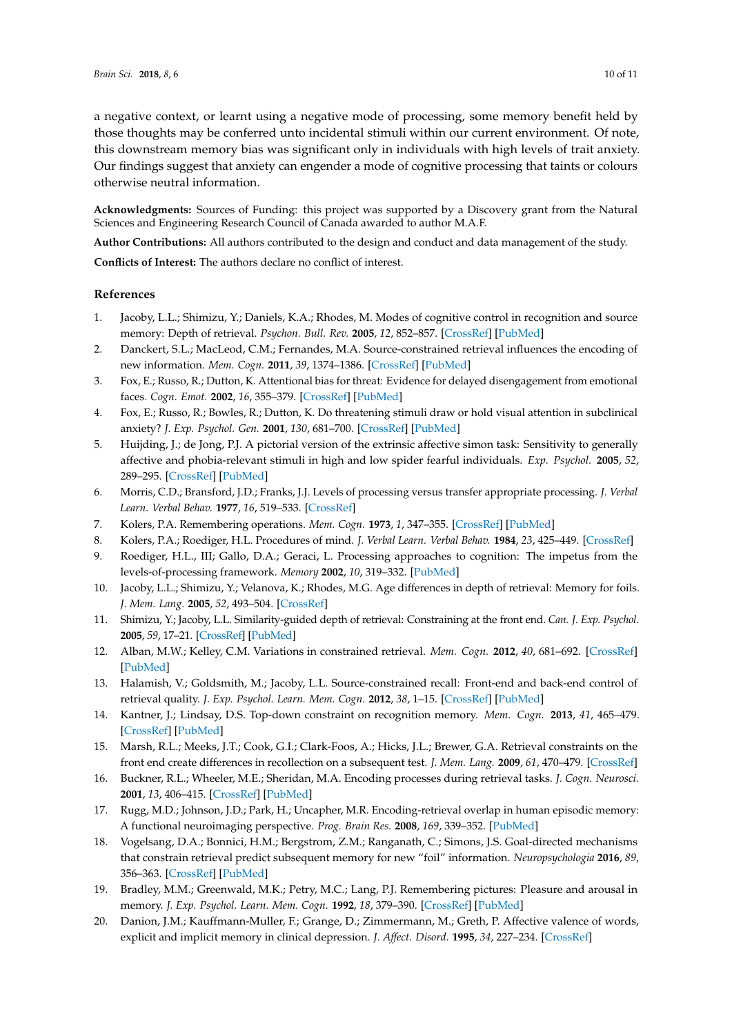a negative context, or learnt using a negative mode of processing, some memory benefit held by those thoughts may be conferred unto incidental stimuli within our current environment. Of note, this downstream memory bias was significant only in individuals with high levels of trait anxiety. Our findings suggest that anxiety can engender a mode of cognitive processing that taints or colours otherwise neutral information.

**Acknowledgments:** Sources of Funding: this project was supported by a Discovery grant from the Natural Sciences and Engineering Research Council of Canada awarded to author M.A.F.

**Author Contributions:** All authors contributed to the design and conduct and data management of the study.

**Conflicts of Interest:** The authors declare no conflict of interest.

#### **References**

- <span id="page-9-0"></span>1. Jacoby, L.L.; Shimizu, Y.; Daniels, K.A.; Rhodes, M. Modes of cognitive control in recognition and source memory: Depth of retrieval. *Psychon. Bull. Rev.* **2005**, *12*, 852–857. [\[CrossRef\]](http://dx.doi.org/10.3758/BF03196776) [\[PubMed\]](http://www.ncbi.nlm.nih.gov/pubmed/16524001)
- <span id="page-9-1"></span>2. Danckert, S.L.; MacLeod, C.M.; Fernandes, M.A. Source-constrained retrieval influences the encoding of new information. *Mem. Cogn.* **2011**, *39*, 1374–1386. [\[CrossRef\]](http://dx.doi.org/10.3758/s13421-011-0117-9) [\[PubMed\]](http://www.ncbi.nlm.nih.gov/pubmed/21647810)
- <span id="page-9-2"></span>3. Fox, E.; Russo, R.; Dutton, K. Attentional bias for threat: Evidence for delayed disengagement from emotional faces. *Cogn. Emot.* **2002**, *16*, 355–379. [\[CrossRef\]](http://dx.doi.org/10.1080/02699930143000527) [\[PubMed\]](http://www.ncbi.nlm.nih.gov/pubmed/18273395)
- 4. Fox, E.; Russo, R.; Bowles, R.; Dutton, K. Do threatening stimuli draw or hold visual attention in subclinical anxiety? *J. Exp. Psychol. Gen.* **2001**, *130*, 681–700. [\[CrossRef\]](http://dx.doi.org/10.1037/0096-3445.130.4.681) [\[PubMed\]](http://www.ncbi.nlm.nih.gov/pubmed/11757875)
- <span id="page-9-3"></span>5. Huijding, J.; de Jong, P.J. A pictorial version of the extrinsic affective simon task: Sensitivity to generally affective and phobia-relevant stimuli in high and low spider fearful individuals. *Exp. Psychol.* **2005**, *52*, 289–295. [\[CrossRef\]](http://dx.doi.org/10.1027/1618-3169.52.4.289) [\[PubMed\]](http://www.ncbi.nlm.nih.gov/pubmed/16302537)
- <span id="page-9-4"></span>6. Morris, C.D.; Bransford, J.D.; Franks, J.J. Levels of processing versus transfer appropriate processing. *J. Verbal Learn. Verbal Behav.* **1977**, *16*, 519–533. [\[CrossRef\]](http://dx.doi.org/10.1016/S0022-5371(77)80016-9)
- <span id="page-9-5"></span>7. Kolers, P.A. Remembering operations. *Mem. Cogn.* **1973**, *1*, 347–355. [\[CrossRef\]](http://dx.doi.org/10.3758/BF03198119) [\[PubMed\]](http://www.ncbi.nlm.nih.gov/pubmed/24214568)
- <span id="page-9-6"></span>8. Kolers, P.A.; Roediger, H.L. Procedures of mind. *J. Verbal Learn. Verbal Behav.* **1984**, *23*, 425–449. [\[CrossRef\]](http://dx.doi.org/10.1016/S0022-5371(84)90282-2)
- <span id="page-9-7"></span>9. Roediger, H.L., III; Gallo, D.A.; Geraci, L. Processing approaches to cognition: The impetus from the levels-of-processing framework. *Memory* **2002**, *10*, 319–332. [\[PubMed\]](http://www.ncbi.nlm.nih.gov/pubmed/12396644)
- <span id="page-9-8"></span>10. Jacoby, L.L.; Shimizu, Y.; Velanova, K.; Rhodes, M.G. Age differences in depth of retrieval: Memory for foils. *J. Mem. Lang.* **2005**, *52*, 493–504. [\[CrossRef\]](http://dx.doi.org/10.1016/j.jml.2005.01.007)
- <span id="page-9-9"></span>11. Shimizu, Y.; Jacoby, L.L. Similarity-guided depth of retrieval: Constraining at the front end. *Can. J. Exp. Psychol.* **2005**, *59*, 17–21. [\[CrossRef\]](http://dx.doi.org/10.1037/h0087455) [\[PubMed\]](http://www.ncbi.nlm.nih.gov/pubmed/15832628)
- <span id="page-9-10"></span>12. Alban, M.W.; Kelley, C.M. Variations in constrained retrieval. *Mem. Cogn.* **2012**, *40*, 681–692. [\[CrossRef\]](http://dx.doi.org/10.3758/s13421-012-0185-5) [\[PubMed\]](http://www.ncbi.nlm.nih.gov/pubmed/22297425)
- 13. Halamish, V.; Goldsmith, M.; Jacoby, L.L. Source-constrained recall: Front-end and back-end control of retrieval quality. *J. Exp. Psychol. Learn. Mem. Cogn.* **2012**, *38*, 1–15. [\[CrossRef\]](http://dx.doi.org/10.1037/a0025053) [\[PubMed\]](http://www.ncbi.nlm.nih.gov/pubmed/21859234)
- 14. Kantner, J.; Lindsay, D.S. Top-down constraint on recognition memory. *Mem. Cogn.* **2013**, *41*, 465–479. [\[CrossRef\]](http://dx.doi.org/10.3758/s13421-012-0265-6) [\[PubMed\]](http://www.ncbi.nlm.nih.gov/pubmed/23180311)
- <span id="page-9-11"></span>15. Marsh, R.L.; Meeks, J.T.; Cook, G.I.; Clark-Foos, A.; Hicks, J.L.; Brewer, G.A. Retrieval constraints on the front end create differences in recollection on a subsequent test. *J. Mem. Lang.* **2009**, *61*, 470–479. [\[CrossRef\]](http://dx.doi.org/10.1016/j.jml.2009.06.005)
- <span id="page-9-12"></span>16. Buckner, R.L.; Wheeler, M.E.; Sheridan, M.A. Encoding processes during retrieval tasks. *J. Cogn. Neurosci.* **2001**, *13*, 406–415. [\[CrossRef\]](http://dx.doi.org/10.1162/08989290151137430) [\[PubMed\]](http://www.ncbi.nlm.nih.gov/pubmed/11371316)
- <span id="page-9-13"></span>17. Rugg, M.D.; Johnson, J.D.; Park, H.; Uncapher, M.R. Encoding-retrieval overlap in human episodic memory: A functional neuroimaging perspective. *Prog. Brain Res.* **2008**, *169*, 339–352. [\[PubMed\]](http://www.ncbi.nlm.nih.gov/pubmed/18394485)
- <span id="page-9-14"></span>18. Vogelsang, D.A.; Bonnici, H.M.; Bergstrom, Z.M.; Ranganath, C.; Simons, J.S. Goal-directed mechanisms that constrain retrieval predict subsequent memory for new "foil" information. *Neuropsychologia* **2016**, *89*, 356–363. [\[CrossRef\]](http://dx.doi.org/10.1016/j.neuropsychologia.2016.07.016) [\[PubMed\]](http://www.ncbi.nlm.nih.gov/pubmed/27431039)
- <span id="page-9-15"></span>19. Bradley, M.M.; Greenwald, M.K.; Petry, M.C.; Lang, P.J. Remembering pictures: Pleasure and arousal in memory. *J. Exp. Psychol. Learn. Mem. Cogn.* **1992**, *18*, 379–390. [\[CrossRef\]](http://dx.doi.org/10.1037/0278-7393.18.2.379) [\[PubMed\]](http://www.ncbi.nlm.nih.gov/pubmed/1532823)
- 20. Danion, J.M.; Kauffmann-Muller, F.; Grange, D.; Zimmermann, M.; Greth, P. Affective valence of words, explicit and implicit memory in clinical depression. *J. Affect. Disord.* **1995**, *34*, 227–234. [\[CrossRef\]](http://dx.doi.org/10.1016/0165-0327(95)00021-E)